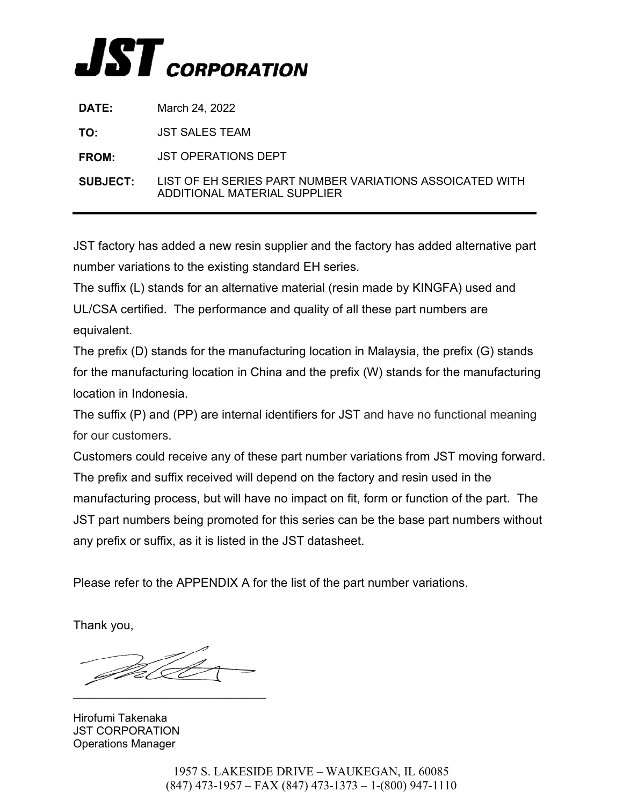

| <b>DATE:</b>    | March 24, 2022                                                                           |
|-----------------|------------------------------------------------------------------------------------------|
| TO:             | JST SALES TEAM                                                                           |
| <b>FROM:</b>    | <b>JST OPERATIONS DEPT</b>                                                               |
| <b>SUBJECT:</b> | LIST OF EH SERIES PART NUMBER VARIATIONS ASSOICATED WITH<br>ADDITIONAL MATERIAL SUPPLIER |

JST factory has added a new resin supplier and the factory has added alternative part number variations to the existing standard EH series.

The suffix (L) stands for an alternative material (resin made by KINGFA) used and UL/CSA certified. The performance and quality of all these part numbers are equivalent.

The prefix (D) stands for the manufacturing location in Malaysia, the prefix (G) stands for the manufacturing location in China and the prefix (W) stands for the manufacturing location in Indonesia.

The suffix (P) and (PP) are internal identifiers for JST and have no functional meaning for our customers.

Customers could receive any of these part number variations from JST moving forward. The prefix and suffix received will depend on the factory and resin used in the manufacturing process, but will have no impact on fit, form or function of the part. The JST part numbers being promoted for this series can be the base part numbers without any prefix or suffix, as it is listed in the JST datasheet.

Please refer to the APPENDIX A for the list of the part number variations.

Thank you,

 $\_$ 

Hirofumi Takenaka JST CORPORATION Operations Manager

1957 S. LAKESIDE DRIVE – WAUKEGAN, IL 60085 (847) 473-1957 – FAX (847) 473-1373 – 1-(800) 947-1110